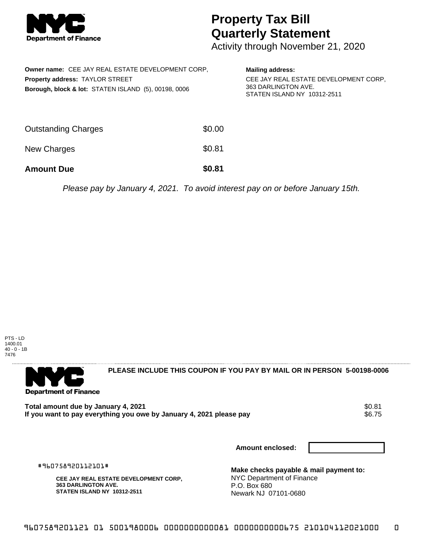

## **Property Tax Bill Quarterly Statement**

Activity through November 21, 2020

| <b>Owner name: CEE JAY REAL ESTATE DEVELOPMENT CORP.</b><br>Property address: TAYLOR STREET<br>Borough, block & lot: STATEN ISLAND (5), 00198, 0006 |        | <b>Mailing address:</b><br>CEE JAY REAL ESTATE DEVELOPMENT CORP.<br>363 DARLINGTON AVE.<br>STATEN ISLAND NY 10312-2511 |
|-----------------------------------------------------------------------------------------------------------------------------------------------------|--------|------------------------------------------------------------------------------------------------------------------------|
| <b>Outstanding Charges</b>                                                                                                                          | \$0.00 |                                                                                                                        |
| New Charges                                                                                                                                         | \$0.81 |                                                                                                                        |
| <b>Amount Due</b>                                                                                                                                   | \$0.81 |                                                                                                                        |

Please pay by January 4, 2021. To avoid interest pay on or before January 15th.

PTS - LD 1400.01 40 - 0 - 1B 7476



**PLEASE INCLUDE THIS COUPON IF YOU PAY BY MAIL OR IN PERSON 5-00198-0006** 

**Total amount due by January 4, 2021** \$0.81 If you want to pay everything you owe by January 4, 2021 please pay

**Amount enclosed:**

#960758920112101#

**CEE JAY REAL ESTATE DEVELOPMENT CORP, 363 DARLINGTON AVE. STATEN ISLAND NY 10312-2511**

**Make checks payable & mail payment to:** NYC Department of Finance P.O. Box 680 Newark NJ 07101-0680